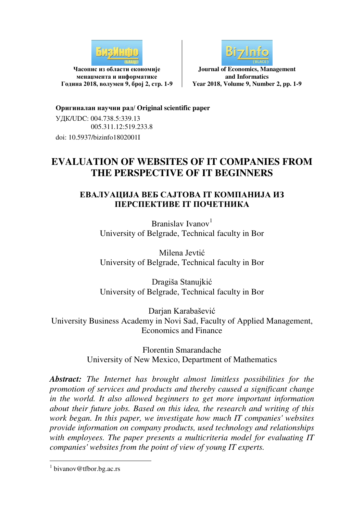

**Часопис из области економије менаџмента и информатике Година 2018, волумен 9, број 2, стр. 1-9** 



**Journal of Economics, Management and Informatics Year 2018, Volume 9, Number 2, pp. 1-9**

**Оригиналан научни рад/ Original scientific paper**  УДК/UDC: 004.738.5:339.13 005.311.12:519.233.8 doi: 10.5937/bizinfo1802001I

# **EVALUATION OF WEBSITES OF IT COMPANIES FROM THE PERSPECTIVE OF IT BEGINNERS**

# **ЕВАЛУАЦИЈА ВЕБ САЈТОВА IT КОМПАНИЈА ИЗ ПЕРСПЕКТИВЕ IT ПОЧЕТНИКА**

Branislav Ivanov<sup>1</sup> University of Belgrade, Technical faculty in Bor

Milena Jevtić University of Belgrade, Technical faculty in Bor

Dragiša Stanujkić University of Belgrade, Technical faculty in Bor

Darjan Karabašević University Business Academy in Novi Sad, Faculty of Applied Management, Economics and Finance

> Florentin Smarandache University of New Mexico, Department of Mathematics

*Abstract: The Internet has brought almost limitless possibilities for the promotion of services and products and thereby caused a significant change in the world. It also allowed beginners to get more important information about their future jobs. Based on this idea, the research and writing of this work began. In this paper, we investigate how much IT companies' websites provide information on company products, used technology and relationships with employees. The paper presents a multicriteria model for evaluating IT companies' websites from the point of view of young IT experts.* 

-

<sup>&</sup>lt;sup>1</sup> bivanov@tfbor.bg.ac.rs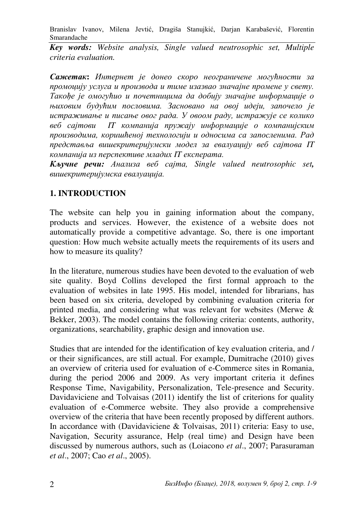*Key words: Website analysis, Single valued neutrosophic set, Multiple criteria evaluation.* 

*Сажетак***:** *Интернет је донео скоро неограничене могућности за промоцију услуга и производа и тиме изазвао значајне промене у свету. Такође је омогућио и почетницима да добију значајне информације о њиховим будућим пословима. Засновано на овој идеји, започело је истраживање и писање овог рада. У овоом раду, истражује се колико веб сајтови IT компанија пружају информације о компанијским производима, коришћеној технологији и односима са запосленима. Рад представља вишекритеријумски модел за евалуацију веб сајтова IT компанија из перспективе младих IT експерата.*

*Кључне речи: Анализа веб сајта, Single valued neutrosophic set, вишекритеријумска евалуација.*

# **1. INTRODUCTION**

The website can help you in gaining information about the company, products and services. However, the existence of a website does not automatically provide a competitive advantage. So, there is one important question: How much website actually meets the requirements of its users and how to measure its quality?

In the literature, numerous studies have been devoted to the evaluation of web site quality. Boyd Collins developed the first formal approach to the evaluation of websites in late 1995. His model, intended for librarians, has been based on six criteria, developed by combining evaluation criteria for printed media, and considering what was relevant for websites (Merwe & Bekker, 2003). The model contains the following criteria: contents, authority, organizations, searchability, graphic design and innovation use.

Studies that are intended for the identification of key evaluation criteria, and / or their significances, are still actual. For example, Dumitrache (2010) gives an overview of criteria used for evaluation of e-Commerce sites in Romania, during the period 2006 and 2009. As very important criteria it defines Response Time, Navigability, Personalization, Tele-presence and Security. Davidaviciene and Tolvaisas (2011) identify the list of criterions for quality evaluation of e-Commerce website. They also provide a comprehensive overview of the criteria that have been recently proposed by different authors. In accordance with (Davidaviciene & Tolvaisas, 2011) criteria: Easy to use, Navigation, Security assurance, Help (real time) and Design have been discussed by numerous authors, such as (Loiacono *et al*., 2007; Parasuraman *et al*., 2007; Cao *et al*., 2005).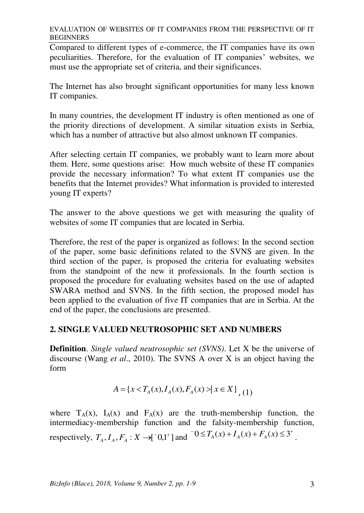EVALUATION OF WEBSITES OF IT COMPANIES FROM THE PERSPECTIVE OF IT BEGINNERS

Compared to different types of e-commerce, the IT companies have its own peculiarities. Therefore, for the evaluation of IT companies' websites, we must use the appropriate set of criteria, and their significances.

The Internet has also brought significant opportunities for many less known IT companies.

In many countries, the development IT industry is often mentioned as one of the priority directions of development. A similar situation exists in Serbia, which has a number of attractive but also almost unknown IT companies.

After selecting certain IT companies, we probably want to learn more about them. Here, some questions arise: How much website of these IT companies provide the necessary information? To what extent IT companies use the benefits that the Internet provides? What information is provided to interested young IT experts?

The answer to the above questions we get with measuring the quality of websites of some IT companies that are located in Serbia.

Therefore, the rest of the paper is organized as follows: In the second section of the paper, some basic definitions related to the SVNS are given. In the third section of the paper, is proposed the criteria for evaluating websites from the standpoint of the new it professionals. In the fourth section is proposed the procedure for evaluating websites based on the use of adapted SWARA method and SVNS. In the fifth section, the proposed model has been applied to the evaluation of five IT companies that are in Serbia. At the end of the paper, the conclusions are presented.

### **2. SINGLE VALUED NEUTROSOPHIC SET AND NUMBERS**

**Definition**. *Single valued neutrosophic set (SVNS)*. Let X be the universe of discourse (Wang *et al*., 2010). The SVNS A over X is an object having the form

$$
A = \{x < T_A(x), I_A(x), F_A(x) > | x \in X\},\tag{1}
$$

where  $T_A(x)$ ,  $I_A(x)$  and  $F_A(x)$  are the truth-membership function, the intermediacy-membership function and the falsity-membership function, respectively,  $T_A$ ,  $I_A$ ,  $F_A$  :  $X \to [-0,1^+]$  and  $[0 \le T_A(x) + I_A(x) + F_A(x) \le 3^+$ .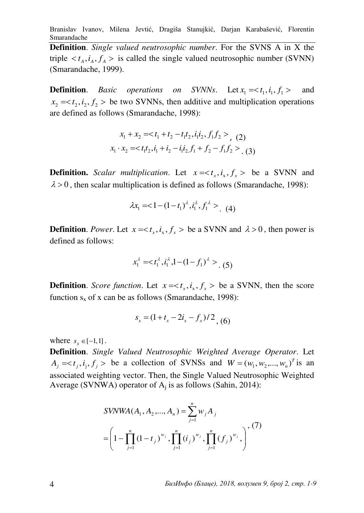**Definition**. *Single valued neutrosophic number*. For the SVNS A in X the triple  $\langle t_A, i_A, f_A \rangle$  is called the single valued neutrosophic number (SVNN) (Smarandache, 1999).

**Definition**. *Basic operations on SVNNs*. Let  $x_1 = \langle t_1, i_1, f_1 \rangle$  and  $x_2 = \langle t_2, i_2, f_2 \rangle$  be two SVNNs, then additive and multiplication operations are defined as follows (Smarandache, 1998):

$$
x_1 + x_2 = , \quad (2)
$$
  

$$
x_1 \cdot x_2 = , \quad (3)
$$

**Definition.** *Scalar multiplication*. Let  $x = < t_x, i_x, f_x >$  be a SVNN and  $\lambda > 0$ , then scalar multiplication is defined as follows (Smarandache, 1998):

$$
\lambda x_1 = 1 - (1 - t_1)^{\lambda}, i_1^{\lambda}, f_1^{\lambda} > (4)
$$

**Definition**. *Power*. Let  $x = < t_x$ ,  $i_x$ ,  $f_x >$  be a SVNN and  $\lambda > 0$ , then power is defined as follows:

$$
x_1^{\lambda} =  (5)
$$

**Definition**. *Score function*. Let  $x = < t_x$ ,  $i_x$ ,  $f_x >$  be a SVNN, then the score function  $s_x$  of x can be as follows (Smarandache, 1998):

$$
s_x = (1 + t_x - 2i_x - f_x)/2
$$
, (6)

where  $s_x \in [-1, 1]$ .

**Definition**. *Single Valued Neutrosophic Weighted Average Operator*. Let  $A_j = \langle t_j, i_j, f_j \rangle$  be a collection of SVNSs and  $W = (w_1, w_2, ..., w_n)^T$  is an associated weighting vector. Then, the Single Valued Neutrosophic Weighted Average (SVNWA) operator of  $A_j$  is as follows (Sahin, 2014):

$$
SVMWA(A_1, A_2, ..., A_n) = \sum_{j=1}^{n} w_j A_j
$$
  
=  $\left(1 - \prod_{j=1}^{n} (1 - t_j)^{w_j}, \prod_{j=1}^{n} (i_j)^{w_j}, \prod_{j=1}^{n} (f_j)^{w_j}, \right)$ , (7)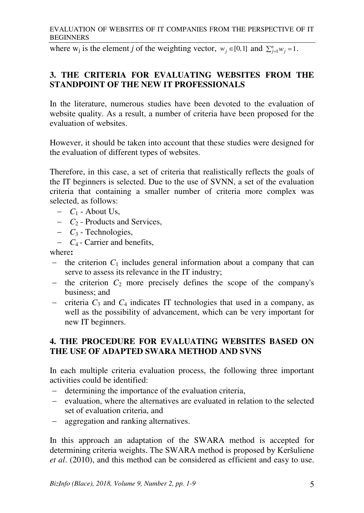#### EVALUATION OF WEBSITES OF IT COMPANIES FROM THE PERSPECTIVE OF IT BEGINNERS

where  $w_j$  is the element *j* of the weighting vector,  $w_j \in [0,1]$  and  $\sum_{j=1}^n w_j = 1$ .

### **3. THE CRITERIA FOR EVALUATING WEBSITES FROM THE STANDPOINT OF THE NEW IT PROFESSIONALS**

In the literature, numerous studies have been devoted to the evaluation of website quality. As a result, a number of criteria have been proposed for the evaluation of websites.

However, it should be taken into account that these studies were designed for the evaluation of different types of websites.

Therefore, in this case, a set of criteria that realistically reflects the goals of the IT beginners is selected. Due to the use of SVNN, a set of the evaluation criteria that containing a smaller number of criteria more complex was selected, as follows:

- $-C_1$  About Us,
- $C_2$  Products and Services,
- $C_3$  Technologies,
- $C_4$  Carrier and benefits,

where**:** 

- $-$  the criterion  $C_1$  includes general information about a company that can serve to assess its relevance in the IT industry;
- $-$  the criterion  $C_2$  more precisely defines the scope of the company's business; and
- criteria  $C_3$  and  $C_4$  indicates IT technologies that used in a company, as well as the possibility of advancement, which can be very important for new IT beginners.

### **4. THE PROCEDURE FOR EVALUATING WEBSITES BASED ON THE USE OF ADAPTED SWARA METHOD AND SVNS**

In each multiple criteria evaluation process, the following three important activities could be identified:

- determining the importance of the evaluation criteria,
- evaluation, where the alternatives are evaluated in relation to the selected set of evaluation criteria, and
- aggregation and ranking alternatives.

In this approach an adaptation of the SWARA method is accepted for determining criteria weights. The SWARA method is proposed by Keršuliene *et al*. (2010), and this method can be considered as efficient and easy to use.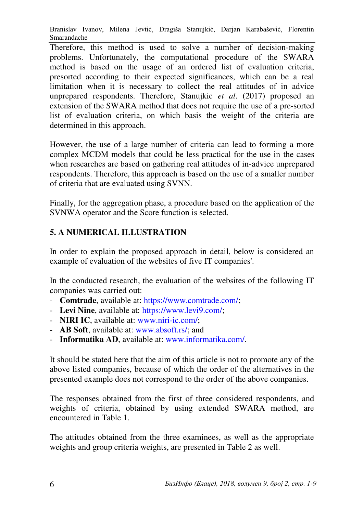Therefore, this method is used to solve a number of decision-making problems. Unfortunately, the computational procedure of the SWARA method is based on the usage of an ordered list of evaluation criteria, presorted according to their expected significances, which can be a real limitation when it is necessary to collect the real attitudes of in advice unprepared respondents. Therefore, Stanujkic *et al*. (2017) proposed an extension of the SWARA method that does not require the use of a pre-sorted list of evaluation criteria, on which basis the weight of the criteria are determined in this approach.

However, the use of a large number of criteria can lead to forming a more complex MCDM models that could be less practical for the use in the cases when researches are based on gathering real attitudes of in-advice unprepared respondents. Therefore, this approach is based on the use of a smaller number of criteria that are evaluated using SVNN.

Finally, for the aggregation phase, a procedure based on the application of the SVNWA operator and the Score function is selected.

# **5. A NUMERICAL ILLUSTRATION**

In order to explain the proposed approach in detail, below is considered an example of evaluation of the websites of five IT companies'.

In the conducted research, the evaluation of the websites of the following IT companies was carried out:

- **Comtrade**, available at: [https://www.comtrade.com/;](https://www.comtrade.com/)
- **Levi Nine**, available at: [https://www.levi9.com/;](https://www.levi9.com/)
- **NIRI IC**, available at: www.niri-ic.com/;
- **AB Soft**, available at: www.absoft.rs/; and
- **Informatika AD**, available at: www.informatika.com/.

It should be stated here that the aim of this article is not to promote any of the above listed companies, because of which the order of the alternatives in the presented example does not correspond to the order of the above companies.

The responses obtained from the first of three considered respondents, and weights of criteria, obtained by using extended SWARA method, are encountered in Table 1.

The attitudes obtained from the three examinees, as well as the appropriate weights and group criteria weights, are presented in Table 2 as well.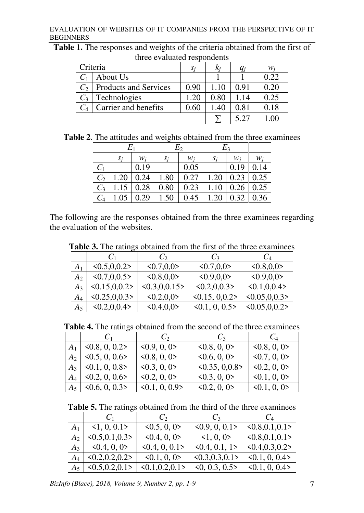#### EVALUATION OF WEBSITES OF IT COMPANIES FROM THE PERSPECTIVE OF IT BEGINNERS

**Table 1.** The responses and weights of the criteria obtained from the first of three evaluated respondents

| Criteria |                              | $S_i$ |      |      | w.   |
|----------|------------------------------|-------|------|------|------|
|          | About Us                     |       |      |      | 0.22 |
| $C_2$    | <b>Products and Services</b> | 0.90  |      | 0.91 | 0.20 |
|          | Technologies                 | 1.20  | 0.80 | 1.14 | 0.25 |
|          | Carrier and benefits         | 0.60  | 1.40 | 0.81 | 0.18 |
|          |                              |       |      | 5.27 |      |

| Table 2. The attitudes and weights obtained from the three examinees |  |
|----------------------------------------------------------------------|--|
|----------------------------------------------------------------------|--|

|       | $E_1$ |                  |       | $E_2$ |       | $E_3$ |      |
|-------|-------|------------------|-------|-------|-------|-------|------|
|       | $S_i$ | $W_i$            | $S_i$ | $W_i$ | $S_i$ | $W_i$ | W;   |
| $C_1$ |       | 0.19             |       | 0.05  |       | 0.19  | 0.14 |
| $C_2$ | 1.20  | $\mid$ 0.24      | 1.80  | 0.27  | 1.20  | 0.23  | 0.25 |
| $C_3$ |       | $1.15 \mid 0.28$ | 0.80  | 0.23  | 1.10  | 0.26  | 0.25 |
| $C_4$ | 1.05  | 0.29             | 1.50  | 0.45  | 1.20  | 0.32  | 0.36 |

The following are the responses obtained from the three examinees regarding the evaluation of the websites.

|                | $C_1$                          | $\mathcal{C}_{2}$             | $C_3$                         | $C_4$                         |
|----------------|--------------------------------|-------------------------------|-------------------------------|-------------------------------|
| A <sub>1</sub> | $\langle 0.5, 0.0.2 \rangle$   | 0.7,0,0                       | $\langle 0.7, 0.0 \rangle$    | 0.8,0.0                       |
| $A_2$          | $\langle 0.7, 0.0.5 \rangle$   | <0.8,0,0>                     | 0.9,0.0                       | $\langle 0.9, 0.0 \rangle$    |
| $A_3$          | $\langle 0.15, 0.0.2 \rangle$  | $\langle 0.3, 0.0.15 \rangle$ | $\langle 0.2, 0.0.3 \rangle$  | < 0.1, 0.0.4                  |
| $A_{4}$        | $\langle 0.25, 0, 0.3 \rangle$ | 0.2,0,0>                      | $\langle 0.15, 0.0.2 \rangle$ | $\langle 0.05, 0.0.3 \rangle$ |
| $A_5$          | $\langle 0.2, 0.0.4 \rangle$   | $\langle 0.4, 0.0 \rangle$    | $\langle 0.1, 0, 0.5 \rangle$ | $\langle 0.05, 0.0.2 \rangle$ |

**Table 3.** The ratings obtained from the first of the three examinees

|                | C <sub>1</sub>                | $C_2$                         | $C_3$                         | $C_4$                       |
|----------------|-------------------------------|-------------------------------|-------------------------------|-----------------------------|
| $A_1$          | $\langle 0.8, 0, 0.2 \rangle$ | $\langle 0.9, 0, 0 \rangle$   | 0.8, 0, 0                     | 0.8, 0, 0                   |
| $A_2$          | $\langle 0.5, 0, 0.6 \rangle$ | 0.8, 0, 0                     | 0.6, 0, 0                     | $\langle 0.7, 0, 0 \rangle$ |
| $A_3$          | $\langle 0.1, 0, 0.8 \rangle$ | $\langle 0.3, 0, 0 \rangle$   | $\langle 0.35, 0.0.8 \rangle$ | $\langle 0.2, 0, 0 \rangle$ |
| $A_4$          | $\langle 0.2, 0, 0.6 \rangle$ | 0.2, 0, 0                     | $\langle 0.3, 0, 0 \rangle$   | $\langle 0.1, 0, 0 \rangle$ |
| A <sub>5</sub> | $\leq 0.6, 0, 0.3$            | $\langle 0.1, 0, 0.9 \rangle$ | 0.2, 0, 0                     | $\le 0.1, 0, 0$             |

|  | Table 5. The ratings obtained from the third of the three examinees |  |  |  |  |  |  |
|--|---------------------------------------------------------------------|--|--|--|--|--|--|
|--|---------------------------------------------------------------------|--|--|--|--|--|--|

|                | C <sub>1</sub>                  | $C_2$                           | $C_3$                           | $C_4$                           |
|----------------|---------------------------------|---------------------------------|---------------------------------|---------------------------------|
| A <sub>1</sub> | $\leq 1, 0, 0.1$ >              | $\langle 0.5, 0, 0 \rangle$     | $\langle 0.9, 0, 0.1 \rangle$   | $\langle 0.8, 0.1, 0.1 \rangle$ |
| A <sub>2</sub> | $\langle 0.5, 0.1, 0.3 \rangle$ | 0.4, 0, 0                       | $\leq 1, 0, 0$ >                | $\langle 0.8, 0.1, 0.1 \rangle$ |
| $A_3$          | 0.4, 0, 0                       | $\langle 0.4, 0, 0.1 \rangle$   | $\langle 0.4, 0.1, 1 \rangle$   | $\langle 0.4, 0.3, 0.2 \rangle$ |
| $A_4$          | $\langle 0.2, 0.2, 0.2 \rangle$ | $\le 0.1, 0, 0$                 | $\langle 0.3, 0.3, 0.1 \rangle$ | $\langle 0.1, 0, 0.4 \rangle$   |
| $A_5$          | $\langle 0.5, 0.2, 0.1 \rangle$ | $\langle 0.1, 0.2, 0.1 \rangle$ | $\langle 0, 0.3, 0.5 \rangle$   | $\langle 0.1, 0, 0.4 \rangle$   |

*BizInfo (Blace), 2018, Volume 9, Number 2, pp. 1-9* 7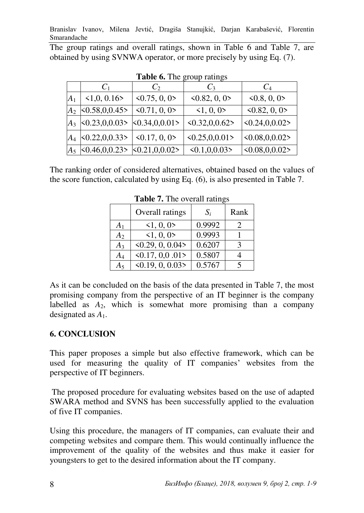The group ratings and overall ratings, shown in Table 6 and Table 7, are obtained by using SVNWA operator, or more precisely by using Eq. (7).

|       | $C_1$                                                         | $C_2$                        | $C_3$                           | $C_4$                          |
|-------|---------------------------------------------------------------|------------------------------|---------------------------------|--------------------------------|
| $A_1$ | $\langle 1,0,0.16 \rangle$                                    | $\langle 0.75, 0, 0 \rangle$ | $\langle 0.82, 0, 0 \rangle$    | 0.8, 0, 0                      |
| $A_2$ | < 0.58, 0.0.45                                                | $\langle 0.71, 0, 0 \rangle$ | $\leq 1, 0, 0$ >                | $\langle 0.82, 0, 0 \rangle$   |
|       | $A_3$ <0.23,0,0.03> <0.34,0,0.01>                             |                              | $\langle 0.32, 0, 0.62 \rangle$ | $ $ < 0.24, 0, 0.02 >          |
| $A_4$ | $\langle 0.22, 0, 0.33 \rangle$                               | $\langle 0.17, 0, 0 \rangle$ | <0.25, 0.01                     | $ $ < 0.08, 0, 0.02 >          |
|       | $\langle 0.46, 0.0.23 \rangle$ $\langle 0.21, 0.0.02 \rangle$ |                              | $\langle 0.1, 0.0.03 \rangle$   | $\langle 0.08, 0.0.02 \rangle$ |

**Table 6.** The group ratings

The ranking order of considered alternatives, obtained based on the values of the score function, calculated by using Eq. (6), is also presented in Table 7.

|                | Overall ratings                   | $S_i$  | Rank         |
|----------------|-----------------------------------|--------|--------------|
| A <sub>1</sub> | $\leq 1, 0, 0$ >                  | 0.9992 |              |
| $A_2$          | 1, 0, 0                           | 0.9993 |              |
| $A_3$          | $\langle 0.29, 0, 0.04 \rangle$   | 0.6207 | $\mathbf{z}$ |
| $A_4$          | $\langle 0.17, 0.0, 0.01 \rangle$ | 0.5807 |              |
| $A_5$          | $\langle 0.19, 0, 0.03 \rangle$   | 0.5767 |              |

**Table 7.** The overall ratings

As it can be concluded on the basis of the data presented in Table 7, the most promising company from the perspective of an IT beginner is the company labelled as  $A_2$ , which is somewhat more promising than a company designated as *A*1.

# **6. CONCLUSION**

This paper proposes a simple but also effective framework, which can be used for measuring the quality of IT companies' websites from the perspective of IT beginners.

 The proposed procedure for evaluating websites based on the use of adapted SWARA method and SVNS has been successfully applied to the evaluation of five IT companies.

Using this procedure, the managers of IT companies, can evaluate their and competing websites and compare them. This would continually influence the improvement of the quality of the websites and thus make it easier for youngsters to get to the desired information about the IT company.